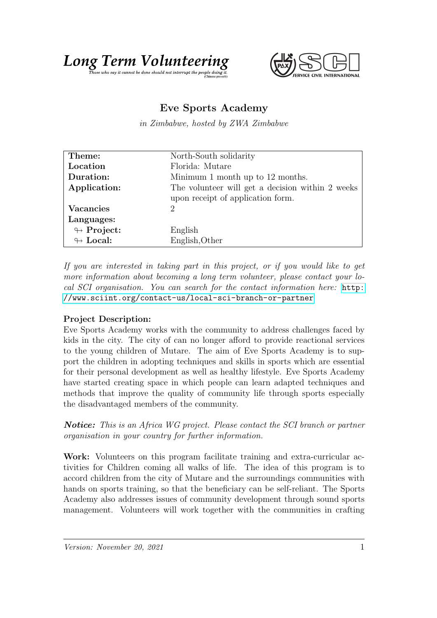



## Eve Sports Academy

in Zimbabwe, hosted by ZWA Zimbabwe

| Theme:                     | North-South solidarity                           |
|----------------------------|--------------------------------------------------|
| Location                   | Florida: Mutare                                  |
| Duration:                  | Minimum 1 month up to 12 months.                 |
| Application:               | The volunteer will get a decision within 2 weeks |
|                            | upon receipt of application form.                |
| <b>Vacancies</b>           | 2                                                |
| Languages:                 |                                                  |
| $\looparrowright$ Project: | English                                          |
| $\leftrightarrow$ Local:   | English, Other                                   |

If you are interested in taking part in this project, or if you would like to get more information about becoming a long term volunteer, please contact your local SCI organisation. You can search for the contact information here: [http:](http://www.sciint.org/contact-us/local-sci-branch-or-partner) [//www.sciint.org/contact-us/local-sci-branch-or-partner](http://www.sciint.org/contact-us/local-sci-branch-or-partner)

## Project Description:

Eve Sports Academy works with the community to address challenges faced by kids in the city. The city of can no longer afford to provide reactional services to the young children of Mutare. The aim of Eve Sports Academy is to support the children in adopting techniques and skills in sports which are essential for their personal development as well as healthy lifestyle. Eve Sports Academy have started creating space in which people can learn adapted techniques and methods that improve the quality of community life through sports especially the disadvantaged members of the community.

**Notice:** This is an Africa WG project. Please contact the SCI branch or partner organisation in your country for further information.

Work: Volunteers on this program facilitate training and extra-curricular activities for Children coming all walks of life. The idea of this program is to accord children from the city of Mutare and the surroundings communities with hands on sports training, so that the beneficiary can be self-reliant. The Sports Academy also addresses issues of community development through sound sports management. Volunteers will work together with the communities in crafting